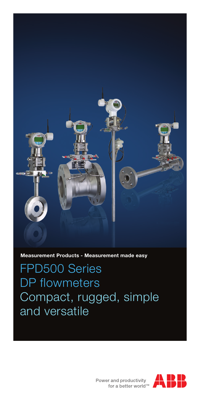

**Measurement Products - Measurement made easy**

FPD500 Series DP flowmeters Compact, rugged, simple and versatile



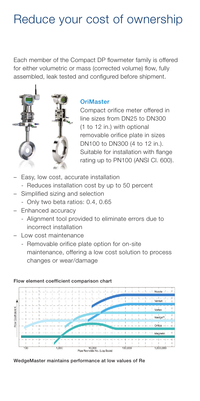# Reduce your cost of ownership

Each member of the Compact DP flowmeter family is offered for either volumetric or mass (corrected volume) flow, fully assembled, leak tested and configured before shipment.



## **OriMaster**

Compact orifice meter offered in line sizes from DN25 to DN300 (1 to 12 in.) with optional removable orifice plate in sizes DN100 to DN300 (4 to 12 in.). Suitable for installation with flange rating up to PN100 (ANSI Cl. 600).

- Easy, low cost, accurate installation
	- Reduces installation cost by up to 50 percent
- Simplified sizing and selection
	- Only two beta ratios: 0.4, 0.65
- Enhanced accuracy
	- Alignment tool provided to eliminate errors due to incorrect installation
- Low cost maintenance
	- Removable orifice plate option for on-site maintenance, offering a low cost solution to process changes or wear/damage



### Flow element coefficient comparison chart

WedgeMaster maintains performance at low values of Re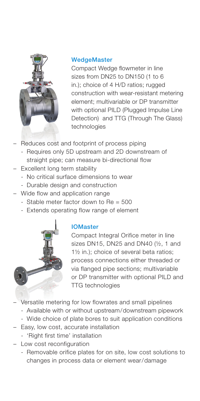

## **WedgeMaster**

Compact Wedge flowmeter in line sizes from DN25 to DN150 (1 to 6 in.); choice of 4 H/D ratios; rugged construction with wear-resistant metering element; multivariable or DP transmitter with optional PILD (Plugged Impulse Line Detection) and TTG (Through The Glass) technologies

- Reduces cost and footprint of process piping
	- Requires only 5D upstream and 2D downstream of straight pipe; can measure bi-directional flow
- Excellent long term stability
	- No critical surface dimensions to wear
	- Durable design and construction
- Wide flow and application range
	- $-$  Stable meter factor down to  $Re = 500$
	- Extends operating flow range of element



## IOMaster

Compact Integral Orifice meter in line sizes DN15, DN25 and DN40 (½, 1 and 1½ in.); choice of several beta ratios; process connections either threaded or via flanged pipe sections; multivariable or DP transmitter with optional PILD and TTG technologies

- Versatile metering for low flowrates and small pipelines
	- Available with or without upstream/downstream pipework
	- Wide choice of plate bores to suit application conditions
- Easy, low cost, accurate installation
	- 'Right first time' installation
- Low cost reconfiguration
	- Removable orifice plates for on site, low cost solutions to changes in process data or element wear/damage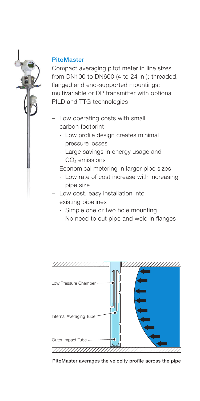## PitoMaster

Compact averaging pitot meter in line sizes from DN100 to DN600 (4 to 24 in.); threaded, flanged and end-supported mountings; multivariable or DP transmitter with optional PILD and TTG technologies

- Low operating costs with small carbon footprint
	- Low profile design creates minimal pressure losses
	- Large savings in energy usage and CO<sub>2</sub> emissions
- Economical metering in larger pipe sizes
	- Low rate of cost increase with increasing pipe size
- Low cost, easy installation into existing pipelines
	- Simple one or two hole mounting
	- No need to cut pipe and weld in flanges



PitoMaster averages the velocity profile across the pipe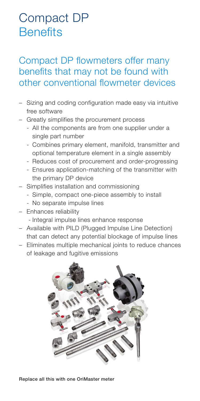# Compact DP **Benefits**

## Compact DP flowmeters offer many benefits that may not be found with other conventional flowmeter devices

- Sizing and coding configuration made easy via intuitive free software
- Greatly simplifies the procurement process
	- All the components are from one supplier under a single part number
	- Combines primary element, manifold, transmitter and optional temperature element in a single assembly
	- Reduces cost of procurement and order-progressing
	- Ensures application-matching of the transmitter with the primary DP device
- Simplifies installation and commissioning
	- Simple, compact one-piece assembly to install
	- No separate impulse lines
- Enhances reliability
	- Integral impulse lines enhance response
- Available with PILD (Plugged Impulse Line Detection) that can detect any potential blockage of impulse lines
- Eliminates multiple mechanical joints to reduce chances of leakage and fugitive emissions



Replace all this with one OriMaster meter